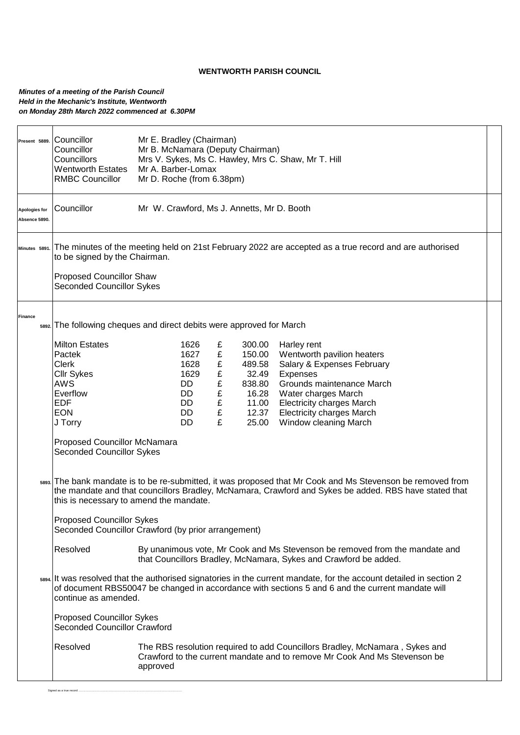## **WENTWORTH PARISH COUNCIL**

## *Minutes of a meeting of the Parish Council Held in the Mechanic's Institute, Wentworth on Monday 28th March 2022 commenced at 6.30PM*

| Present 5889.<br>Apologies for<br>Absence 5890. | Councillor<br>Councillor<br>Councillors<br><b>Wentworth Estates</b><br><b>RMBC Councillor</b><br>Councillor                                                                                                                                                                              | Mr E. Bradley (Chairman)<br>Mr B. McNamara (Deputy Chairman)<br>Mrs V. Sykes, Ms C. Hawley, Mrs C. Shaw, Mr T. Hill<br>Mr A. Barber-Lomax<br>Mr D. Roche (from 6.38pm)<br>Mr W. Crawford, Ms J. Annetts, Mr D. Booth |                                           |                                                                                   |                                                                                                                                                                                                                                          |  |  |  |
|-------------------------------------------------|------------------------------------------------------------------------------------------------------------------------------------------------------------------------------------------------------------------------------------------------------------------------------------------|----------------------------------------------------------------------------------------------------------------------------------------------------------------------------------------------------------------------|-------------------------------------------|-----------------------------------------------------------------------------------|------------------------------------------------------------------------------------------------------------------------------------------------------------------------------------------------------------------------------------------|--|--|--|
| Minutes 5891.                                   | The minutes of the meeting held on 21st February 2022 are accepted as a true record and are authorised<br>to be signed by the Chairman.                                                                                                                                                  |                                                                                                                                                                                                                      |                                           |                                                                                   |                                                                                                                                                                                                                                          |  |  |  |
|                                                 | <b>Proposed Councillor Shaw</b><br><b>Seconded Councillor Sykes</b>                                                                                                                                                                                                                      |                                                                                                                                                                                                                      |                                           |                                                                                   |                                                                                                                                                                                                                                          |  |  |  |
| Finance                                         | 5892. The following cheques and direct debits were approved for March                                                                                                                                                                                                                    |                                                                                                                                                                                                                      |                                           |                                                                                   |                                                                                                                                                                                                                                          |  |  |  |
|                                                 | <b>Milton Estates</b><br>Pactek<br><b>Clerk</b><br><b>Cllr Sykes</b><br><b>AWS</b><br>Everflow<br><b>EDF</b><br><b>EON</b><br>J Torry                                                                                                                                                    | 1626<br>1627<br>1628<br>1629<br>DD<br>DD<br>DD<br>DD<br>DD                                                                                                                                                           | £<br>£<br>£<br>£<br>£<br>£<br>£<br>£<br>£ | 300.00<br>150.00<br>489.58<br>32.49<br>838.80<br>16.28<br>11.00<br>12.37<br>25.00 | Harley rent<br>Wentworth pavilion heaters<br>Salary & Expenses February<br>Expenses<br>Grounds maintenance March<br>Water charges March<br><b>Electricity charges March</b><br><b>Electricity charges March</b><br>Window cleaning March |  |  |  |
|                                                 | Proposed Councillor McNamara<br><b>Seconded Councillor Sykes</b><br>ssss. The bank mandate is to be re-submitted, it was proposed that Mr Cook and Ms Stevenson be removed from<br>the mandate and that councillors Bradley, McNamara, Crawford and Sykes be added. RBS have stated that |                                                                                                                                                                                                                      |                                           |                                                                                   |                                                                                                                                                                                                                                          |  |  |  |
|                                                 | this is necessary to amend the mandate.<br><b>Proposed Councillor Sykes</b><br>Seconded Councillor Crawford (by prior arrangement)                                                                                                                                                       |                                                                                                                                                                                                                      |                                           |                                                                                   |                                                                                                                                                                                                                                          |  |  |  |
|                                                 | Resolved<br>By unanimous vote, Mr Cook and Ms Stevenson be removed from the mandate and<br>that Councillors Bradley, McNamara, Sykes and Crawford be added.                                                                                                                              |                                                                                                                                                                                                                      |                                           |                                                                                   |                                                                                                                                                                                                                                          |  |  |  |
|                                                 | sss4. It was resolved that the authorised signatories in the current mandate, for the account detailed in section 2<br>of document RBS50047 be changed in accordance with sections 5 and 6 and the current mandate will<br>continue as amended.                                          |                                                                                                                                                                                                                      |                                           |                                                                                   |                                                                                                                                                                                                                                          |  |  |  |
|                                                 | <b>Proposed Councillor Sykes</b><br><b>Seconded Councillor Crawford</b>                                                                                                                                                                                                                  |                                                                                                                                                                                                                      |                                           |                                                                                   |                                                                                                                                                                                                                                          |  |  |  |
|                                                 | Resolved<br>The RBS resolution required to add Councillors Bradley, McNamara, Sykes and<br>Crawford to the current mandate and to remove Mr Cook And Ms Stevenson be<br>approved                                                                                                         |                                                                                                                                                                                                                      |                                           |                                                                                   |                                                                                                                                                                                                                                          |  |  |  |
|                                                 |                                                                                                                                                                                                                                                                                          |                                                                                                                                                                                                                      |                                           |                                                                                   |                                                                                                                                                                                                                                          |  |  |  |